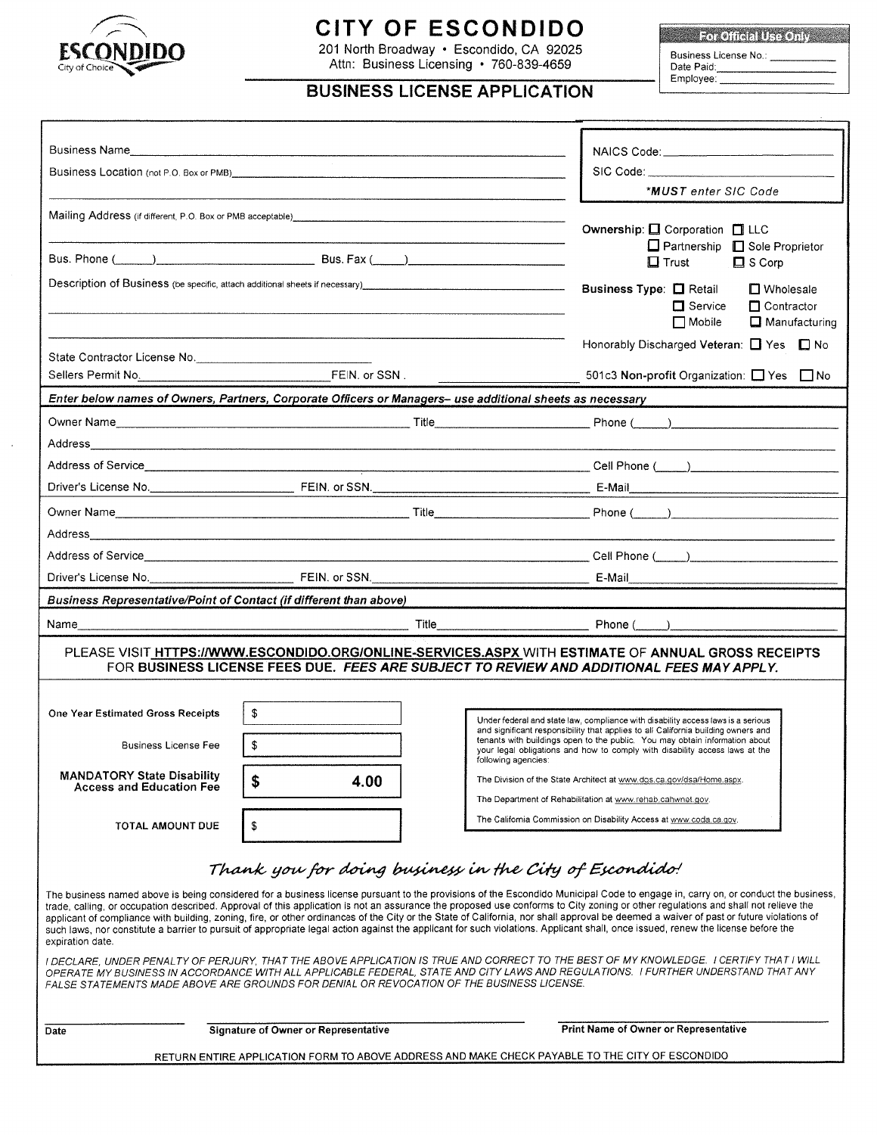

# **CITY OF ESCONDIDO**

201 North Broadway · Escondido, CA 92025 Attn: Business Licensing · 760-839-4659

For Official Use Only Business License No.:<br>Date Paid:

Employee:

# **BUSINESS LICENSE APPLICATION**

|                                                                                                                                                                                                                                                                                                                                                                                                                                                                                                                                                                                                                                                                                                                                                                        |                                                                                        |  | <b>*MUST</b> enter SIC Code                                                                                                                                                                                                                     |  |  |  |  |  |
|------------------------------------------------------------------------------------------------------------------------------------------------------------------------------------------------------------------------------------------------------------------------------------------------------------------------------------------------------------------------------------------------------------------------------------------------------------------------------------------------------------------------------------------------------------------------------------------------------------------------------------------------------------------------------------------------------------------------------------------------------------------------|----------------------------------------------------------------------------------------|--|-------------------------------------------------------------------------------------------------------------------------------------------------------------------------------------------------------------------------------------------------|--|--|--|--|--|
|                                                                                                                                                                                                                                                                                                                                                                                                                                                                                                                                                                                                                                                                                                                                                                        |                                                                                        |  |                                                                                                                                                                                                                                                 |  |  |  |  |  |
|                                                                                                                                                                                                                                                                                                                                                                                                                                                                                                                                                                                                                                                                                                                                                                        |                                                                                        |  | Ownership: □ Corporation □ LLC                                                                                                                                                                                                                  |  |  |  |  |  |
|                                                                                                                                                                                                                                                                                                                                                                                                                                                                                                                                                                                                                                                                                                                                                                        | $\Box$ Partnership $\Box$ Sole Proprietor<br>$\Box$ S Corp<br>$\Box$ Trust             |  |                                                                                                                                                                                                                                                 |  |  |  |  |  |
|                                                                                                                                                                                                                                                                                                                                                                                                                                                                                                                                                                                                                                                                                                                                                                        |                                                                                        |  | Business Type: <sub>N</sub> Retail<br>$\Box$ Wholesale                                                                                                                                                                                          |  |  |  |  |  |
|                                                                                                                                                                                                                                                                                                                                                                                                                                                                                                                                                                                                                                                                                                                                                                        |                                                                                        |  | $\Box$ Service<br>$\Box$ Contractor                                                                                                                                                                                                             |  |  |  |  |  |
|                                                                                                                                                                                                                                                                                                                                                                                                                                                                                                                                                                                                                                                                                                                                                                        |                                                                                        |  | $\Box$ Mobile<br>$\Box$ Manufacturing                                                                                                                                                                                                           |  |  |  |  |  |
| State Contractor License No.                                                                                                                                                                                                                                                                                                                                                                                                                                                                                                                                                                                                                                                                                                                                           |                                                                                        |  | Honorably Discharged Veteran: □ Yes □ No                                                                                                                                                                                                        |  |  |  |  |  |
|                                                                                                                                                                                                                                                                                                                                                                                                                                                                                                                                                                                                                                                                                                                                                                        |                                                                                        |  | 501c3 Non-profit Organization: □ Yes □ No                                                                                                                                                                                                       |  |  |  |  |  |
| Enter below names of Owners, Partners, Corporate Officers or Managers- use additional sheets as necessary                                                                                                                                                                                                                                                                                                                                                                                                                                                                                                                                                                                                                                                              |                                                                                        |  |                                                                                                                                                                                                                                                 |  |  |  |  |  |
|                                                                                                                                                                                                                                                                                                                                                                                                                                                                                                                                                                                                                                                                                                                                                                        |                                                                                        |  |                                                                                                                                                                                                                                                 |  |  |  |  |  |
|                                                                                                                                                                                                                                                                                                                                                                                                                                                                                                                                                                                                                                                                                                                                                                        |                                                                                        |  |                                                                                                                                                                                                                                                 |  |  |  |  |  |
|                                                                                                                                                                                                                                                                                                                                                                                                                                                                                                                                                                                                                                                                                                                                                                        |                                                                                        |  |                                                                                                                                                                                                                                                 |  |  |  |  |  |
|                                                                                                                                                                                                                                                                                                                                                                                                                                                                                                                                                                                                                                                                                                                                                                        |                                                                                        |  |                                                                                                                                                                                                                                                 |  |  |  |  |  |
|                                                                                                                                                                                                                                                                                                                                                                                                                                                                                                                                                                                                                                                                                                                                                                        |                                                                                        |  |                                                                                                                                                                                                                                                 |  |  |  |  |  |
|                                                                                                                                                                                                                                                                                                                                                                                                                                                                                                                                                                                                                                                                                                                                                                        |                                                                                        |  |                                                                                                                                                                                                                                                 |  |  |  |  |  |
|                                                                                                                                                                                                                                                                                                                                                                                                                                                                                                                                                                                                                                                                                                                                                                        |                                                                                        |  |                                                                                                                                                                                                                                                 |  |  |  |  |  |
|                                                                                                                                                                                                                                                                                                                                                                                                                                                                                                                                                                                                                                                                                                                                                                        |                                                                                        |  |                                                                                                                                                                                                                                                 |  |  |  |  |  |
| Business Representative/Point of Contact (if different than above)                                                                                                                                                                                                                                                                                                                                                                                                                                                                                                                                                                                                                                                                                                     |                                                                                        |  |                                                                                                                                                                                                                                                 |  |  |  |  |  |
| Name__________________                                                                                                                                                                                                                                                                                                                                                                                                                                                                                                                                                                                                                                                                                                                                                 |                                                                                        |  |                                                                                                                                                                                                                                                 |  |  |  |  |  |
|                                                                                                                                                                                                                                                                                                                                                                                                                                                                                                                                                                                                                                                                                                                                                                        |                                                                                        |  | PLEASE VISIT HTTPS://WWW.ESCONDIDO.ORG/ONLINE-SERVICES.ASPX WITH ESTIMATE OF ANNUAL GROSS RECEIPTS                                                                                                                                              |  |  |  |  |  |
|                                                                                                                                                                                                                                                                                                                                                                                                                                                                                                                                                                                                                                                                                                                                                                        |                                                                                        |  | FOR BUSINESS LICENSE FEES DUE. FEES ARE SUBJECT TO REVIEW AND ADDITIONAL FEES MAY APPLY.                                                                                                                                                        |  |  |  |  |  |
|                                                                                                                                                                                                                                                                                                                                                                                                                                                                                                                                                                                                                                                                                                                                                                        |                                                                                        |  |                                                                                                                                                                                                                                                 |  |  |  |  |  |
| <b>One Year Estimated Gross Receipts</b>                                                                                                                                                                                                                                                                                                                                                                                                                                                                                                                                                                                                                                                                                                                               | \$<br>Under federal and state law, compliance with disability access laws is a serious |  |                                                                                                                                                                                                                                                 |  |  |  |  |  |
| <b>Business License Fee</b>                                                                                                                                                                                                                                                                                                                                                                                                                                                                                                                                                                                                                                                                                                                                            | \$                                                                                     |  | and significant responsibility that applies to all California building owners and<br>tenants with buildings open to the public. You may obtain information about<br>your legal obligations and how to comply with disability access laws at the |  |  |  |  |  |
| <b>MANDATORY State Disability</b>                                                                                                                                                                                                                                                                                                                                                                                                                                                                                                                                                                                                                                                                                                                                      | \$<br>4.00                                                                             |  | following agencies:<br>The Division of the State Architect at www.dos.ca.gov/dsa/Home.aspx.                                                                                                                                                     |  |  |  |  |  |
| <b>Access and Education Fee</b>                                                                                                                                                                                                                                                                                                                                                                                                                                                                                                                                                                                                                                                                                                                                        |                                                                                        |  | The Department of Rehabilitation at www.rehab.cahwnet.gov.                                                                                                                                                                                      |  |  |  |  |  |
| <b>TOTAL AMOUNT DUE</b>                                                                                                                                                                                                                                                                                                                                                                                                                                                                                                                                                                                                                                                                                                                                                | \$                                                                                     |  | The California Commission on Disability Access at www.coda.ca.gov.                                                                                                                                                                              |  |  |  |  |  |
|                                                                                                                                                                                                                                                                                                                                                                                                                                                                                                                                                                                                                                                                                                                                                                        |                                                                                        |  |                                                                                                                                                                                                                                                 |  |  |  |  |  |
| Thank you for doing business in the City of Escondido!                                                                                                                                                                                                                                                                                                                                                                                                                                                                                                                                                                                                                                                                                                                 |                                                                                        |  |                                                                                                                                                                                                                                                 |  |  |  |  |  |
| The business named above is being considered for a business license pursuant to the provisions of the Escondido Municipal Code to engage in, carry on, or conduct the business,<br>trade, calling, or occupation described. Approval of this application is not an assurance the proposed use conforms to City zoning or other regulations and shall not relieve the<br>applicant of compliance with building, zoning, fire, or other ordinances of the City or the State of California, nor shall approval be deemed a waiver of past or future violations of<br>such laws, nor constitute a barrier to pursuit of appropriate legal action against the applicant for such violations. Applicant shall, once issued, renew the license before the<br>expiration date. |                                                                                        |  |                                                                                                                                                                                                                                                 |  |  |  |  |  |
| I DECLARE, UNDER PENALTY OF PERJURY, THAT THE ABOVE APPLICATION IS TRUE AND CORRECT TO THE BEST OF MY KNOWLEDGE. I CERTIFY THAT I WILL<br>OPERATE MY BUSINESS IN ACCORDANCE WITH ALL APPLICABLE FEDERAL, STATE AND CITY LAWS AND REGULATIONS. I FURTHER UNDERSTAND THAT ANY<br>FALSE STATEMENTS MADE ABOVE ARE GROUNDS FOR DENIAL OR REVOCATION OF THE BUSINESS LICENSE.                                                                                                                                                                                                                                                                                                                                                                                               |                                                                                        |  |                                                                                                                                                                                                                                                 |  |  |  |  |  |
|                                                                                                                                                                                                                                                                                                                                                                                                                                                                                                                                                                                                                                                                                                                                                                        |                                                                                        |  |                                                                                                                                                                                                                                                 |  |  |  |  |  |

Date

 $\ddot{\phantom{a}}$ 

**Signature of Owner or Representative** 

**Print Name of Owner or Representative** 

RETURN ENTIRE APPLICATION FORM TO ABOVE ADDRESS AND MAKE CHECK PAYABLE TO THE CITY OF ESCONDIDO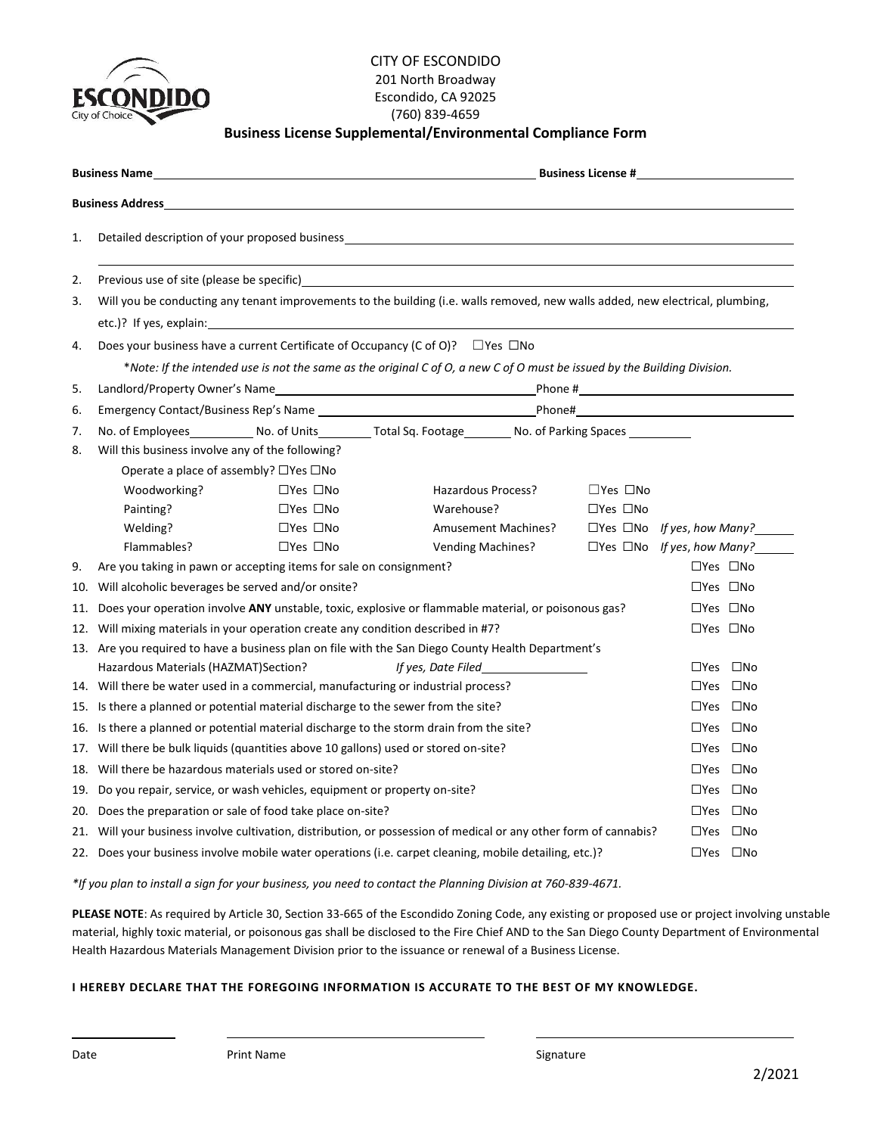

#### CITY OF ESCONDIDO 201 North Broadway Escondido, CA 92025 (760) 839-4659 **Business License Supplemental/Environmental Compliance Form**

|                                                                                                                                      | <b>Business Name</b>                                                                                                                                                                                                                | and the control of the control of the control of the control of the control of the control of the control of the |                                                                                                                     |                      |                                        |  |  |  |  |
|--------------------------------------------------------------------------------------------------------------------------------------|-------------------------------------------------------------------------------------------------------------------------------------------------------------------------------------------------------------------------------------|------------------------------------------------------------------------------------------------------------------|---------------------------------------------------------------------------------------------------------------------|----------------------|----------------------------------------|--|--|--|--|
| <b>Business Address</b>                                                                                                              |                                                                                                                                                                                                                                     |                                                                                                                  |                                                                                                                     |                      |                                        |  |  |  |  |
| 1.                                                                                                                                   | Detailed description of your proposed business examples are also as a series of the set of the set of the set o                                                                                                                     |                                                                                                                  |                                                                                                                     |                      |                                        |  |  |  |  |
| 2.                                                                                                                                   | Previous use of site (please be specific) <b>Example 2018</b> 2019 12:00:00 Previous Contract Contract Contract Contract Contract Contract Contract Contract Contract Contract Contract Contract Contract Contract Contract Contrac |                                                                                                                  |                                                                                                                     |                      |                                        |  |  |  |  |
| Will you be conducting any tenant improvements to the building (i.e. walls removed, new walls added, new electrical, plumbing,<br>3. |                                                                                                                                                                                                                                     |                                                                                                                  |                                                                                                                     |                      |                                        |  |  |  |  |
|                                                                                                                                      | etc.)? If yes, explain: example and a set of the set of the set of the set of the set of the set of the set of the set of the set of the set of the set of the set of the set of the set of the set of the set of the set of t      |                                                                                                                  |                                                                                                                     |                      |                                        |  |  |  |  |
| 4.                                                                                                                                   | Does your business have a current Certificate of Occupancy (C of O)? $\square$ Yes $\square$ No                                                                                                                                     |                                                                                                                  |                                                                                                                     |                      |                                        |  |  |  |  |
| *Note: If the intended use is not the same as the original C of O, a new C of O must be issued by the Building Division.             |                                                                                                                                                                                                                                     |                                                                                                                  |                                                                                                                     |                      |                                        |  |  |  |  |
| 5.                                                                                                                                   |                                                                                                                                                                                                                                     |                                                                                                                  |                                                                                                                     |                      |                                        |  |  |  |  |
| 6.                                                                                                                                   |                                                                                                                                                                                                                                     |                                                                                                                  |                                                                                                                     |                      |                                        |  |  |  |  |
| 7.                                                                                                                                   |                                                                                                                                                                                                                                     |                                                                                                                  | No. of Employees______________ No. of Units____________ Total Sq. Footage_________ No. of Parking Spaces __________ |                      |                                        |  |  |  |  |
| 8.                                                                                                                                   | Will this business involve any of the following?                                                                                                                                                                                    |                                                                                                                  |                                                                                                                     |                      |                                        |  |  |  |  |
|                                                                                                                                      | Operate a place of assembly? □Yes □No                                                                                                                                                                                               |                                                                                                                  |                                                                                                                     |                      |                                        |  |  |  |  |
|                                                                                                                                      | Woodworking?                                                                                                                                                                                                                        | $\Box$ Yes $\Box$ No                                                                                             | Hazardous Process?                                                                                                  | $\Box$ Yes $\Box$ No |                                        |  |  |  |  |
|                                                                                                                                      | Painting?                                                                                                                                                                                                                           | $\Box$ Yes $\Box$ No                                                                                             | Warehouse?                                                                                                          | $\Box$ Yes $\Box$ No |                                        |  |  |  |  |
|                                                                                                                                      | Welding?                                                                                                                                                                                                                            | $\Box$ Yes $\Box$ No                                                                                             | Amusement Machines?                                                                                                 |                      | $\Box$ Yes $\Box$ No If yes, how Many? |  |  |  |  |
|                                                                                                                                      | Flammables?                                                                                                                                                                                                                         | $\Box$ Yes $\Box$ No                                                                                             | <b>Vending Machines?</b>                                                                                            |                      | $\Box$ Yes $\Box$ No If yes, how Many? |  |  |  |  |
| 9.                                                                                                                                   | $\square$ Yes $\square$ No<br>Are you taking in pawn or accepting items for sale on consignment?                                                                                                                                    |                                                                                                                  |                                                                                                                     |                      |                                        |  |  |  |  |
| 10.                                                                                                                                  | $\square$ Yes $\square$ No<br>Will alcoholic beverages be served and/or onsite?                                                                                                                                                     |                                                                                                                  |                                                                                                                     |                      |                                        |  |  |  |  |
| 11.                                                                                                                                  | Does your operation involve ANY unstable, toxic, explosive or flammable material, or poisonous gas?<br>$\Box$ Yes $\Box$ No                                                                                                         |                                                                                                                  |                                                                                                                     |                      |                                        |  |  |  |  |
|                                                                                                                                      | 12. Will mixing materials in your operation create any condition described in #7?<br>$\Box$ Yes $\Box$ No                                                                                                                           |                                                                                                                  |                                                                                                                     |                      |                                        |  |  |  |  |
|                                                                                                                                      |                                                                                                                                                                                                                                     |                                                                                                                  | 13. Are you required to have a business plan on file with the San Diego County Health Department's                  |                      |                                        |  |  |  |  |
|                                                                                                                                      | Hazardous Materials (HAZMAT) Section?                                                                                                                                                                                               |                                                                                                                  | If yes, Date Filed                                                                                                  |                      | $\Box$ Yes $\Box$ No                   |  |  |  |  |
|                                                                                                                                      |                                                                                                                                                                                                                                     | 14. Will there be water used in a commercial, manufacturing or industrial process?                               |                                                                                                                     |                      | $\square$ Yes $\square$ No             |  |  |  |  |
|                                                                                                                                      | $\square$ Yes $\square$ No<br>15. Is there a planned or potential material discharge to the sewer from the site?                                                                                                                    |                                                                                                                  |                                                                                                                     |                      |                                        |  |  |  |  |
|                                                                                                                                      | 16. Is there a planned or potential material discharge to the storm drain from the site?                                                                                                                                            | $\Box$ Yes $\Box$ No                                                                                             |                                                                                                                     |                      |                                        |  |  |  |  |
| 17.                                                                                                                                  | Will there be bulk liquids (quantities above 10 gallons) used or stored on-site?                                                                                                                                                    | $\square$ Yes $\square$ No                                                                                       |                                                                                                                     |                      |                                        |  |  |  |  |
| 18.                                                                                                                                  | Will there be hazardous materials used or stored on-site?                                                                                                                                                                           |                                                                                                                  |                                                                                                                     |                      | $\Box$ Yes $\Box$ No                   |  |  |  |  |
|                                                                                                                                      | 19. Do you repair, service, or wash vehicles, equipment or property on-site?                                                                                                                                                        | $\Box$ Yes $\Box$ No                                                                                             |                                                                                                                     |                      |                                        |  |  |  |  |
|                                                                                                                                      | $\square$ Yes $\square$ No<br>20. Does the preparation or sale of food take place on-site?                                                                                                                                          |                                                                                                                  |                                                                                                                     |                      |                                        |  |  |  |  |
|                                                                                                                                      | 21. Will your business involve cultivation, distribution, or possession of medical or any other form of cannabis?<br>$\Box$ Yes $\Box$ No                                                                                           |                                                                                                                  |                                                                                                                     |                      |                                        |  |  |  |  |
|                                                                                                                                      |                                                                                                                                                                                                                                     |                                                                                                                  | 22. Does your business involve mobile water operations (i.e. carpet cleaning, mobile detailing, etc.)?              |                      | $\Box$ Yes $\Box$ No                   |  |  |  |  |

*\*If you plan to install a sign for your business, you need to contact the Planning Division at 760-839-4671.*

**PLEASE NOTE**: As required by Article 30, Section 33-665 of the Escondido Zoning Code, any existing or proposed use or project involving unstable material, highly toxic material, or poisonous gas shall be disclosed to the Fire Chief AND to the San Diego County Department of Environmental Health Hazardous Materials Management Division prior to the issuance or renewal of a Business License.

#### **I HEREBY DECLARE THAT THE FOREGOING INFORMATION IS ACCURATE TO THE BEST OF MY KNOWLEDGE.**